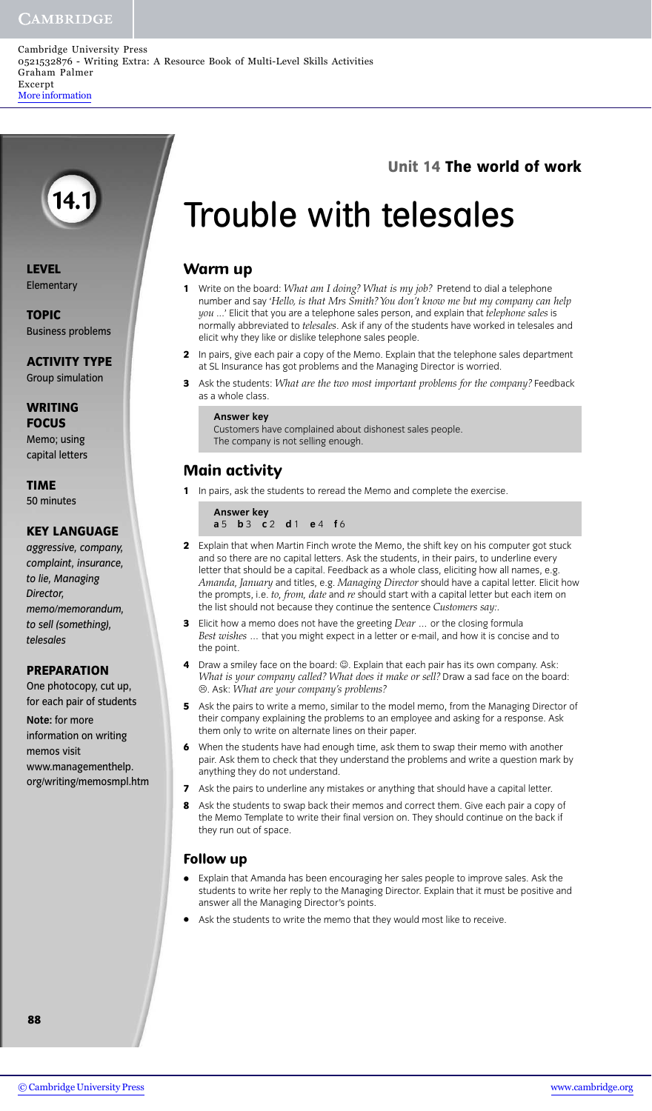## **Unit 14 The world of work**

# Trouble with telesales

### **Warm up**

- **1** Write on the board: *What am I doing? What is my job?* Pretend to dial a telephone number and say '*Hello, is that Mrs Smith? You don't know me but my company can help you* ...' Elicit that you are a telephone sales person, and explain that *telephone sales* is normally abbreviated to *telesales*. Ask if any of the students have worked in telesales and elicit why they like or dislike telephone sales people.
- **2** In pairs, give each pair a copy of the Memo. Explain that the telephone sales department at SL Insurance has got problems and the Managing Director is worried.
- **3** Ask the students: *What are the two most important problems for the company?* Feedback as a whole class.

#### **Answer key**

Customers have complained about dishonest sales people. The company is not selling enough.

## **Main activity**

**1** In pairs, ask the students to reread the Memo and complete the exercise.

**Answer key a** 5 **b** 3 **c** 2 **d** 1 **e** 4 **f** 6

- **2** Explain that when Martin Finch wrote the Memo, the shift key on his computer got stuck and so there are no capital letters. Ask the students, in their pairs, to underline every letter that should be a capital. Feedback as a whole class, eliciting how all names, e.g. *Amanda, January* and titles, e.g. *Managing Director* should have a capital letter. Elicit how the prompts, i.e. *to, from, date* and *re* should start with a capital letter but each item on the list should not because they continue the sentence *Customers say:.*
- **3** Elicit how a memo does not have the greeting *Dear* … or the closing formula *Best wishes* … that you might expect in a letter or e-mail, and how it is concise and to the point.
- **4** Draw a smiley face on the board:  $\odot$ . Explain that each pair has its own company. Ask: *What is your company called? What does it make or sell?* Draw a sad face on the board: /. Ask: *What are your company's problems?*
- **5** Ask the pairs to write a memo, similar to the model memo, from the Managing Director of their company explaining the problems to an employee and asking for a response. Ask them only to write on alternate lines on their paper.
- **6** When the students have had enough time, ask them to swap their memo with another pair. Ask them to check that they understand the problems and write a question mark by anything they do not understand.
- **7** Ask the pairs to underline any mistakes or anything that should have a capital letter.
- **8** Ask the students to swap back their memos and correct them. Give each pair a copy of the Memo Template to write their final version on. They should continue on the back if they run out of space.

#### **Follow up**

- **•** Explain that Amanda has been encouraging her sales people to improve sales. Ask the students to write her reply to the Managing Director. Explain that it must be positive and answer all the Managing Director's points.
- **•** Ask the students to write the memo that they would most like to receive.

**LEVEL**  Elementary

**TOPIC**  Business problems

**14.1**

**ACTIVITY TYPE**  Group simulation

## **WRITING**

**FOCUS**  Memo; using capital letters

## **TIME**

50 minutes

#### **KEY LANGUAGE**

*aggressive, company, complaint, insurance, to lie, Managing Director, memo/memorandum, to sell (something), telesales*

#### **PREPARATION**

One photocopy, cut up, for each pair of students

**Note:** for more information on writing memos visit www.managementhelp. org/writing/memosmpl.htm